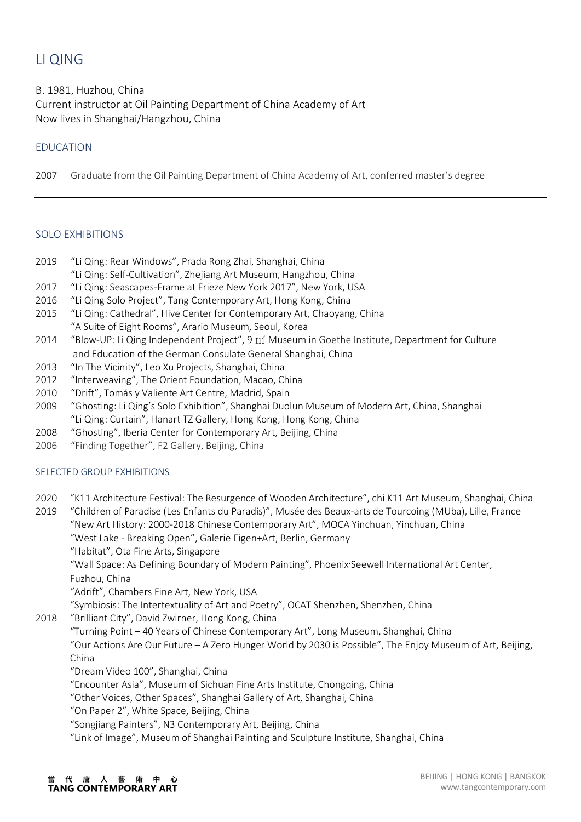# LI QING

B. 1981, Huzhou, China Current instructor at Oil Painting Department of China Academy of Art Now lives in Shanghai/Hangzhou, China

## EDUCATION

2007 Graduate from the Oil Painting Department of China Academy of Art, conferred master's degree

## SOLO EXHIBITIONS

- 2019 "Li Qing: Rear Windows", Prada Rong Zhai, Shanghai, China
- "Li Qing: Self-Cultivation", Zhejiang Art Museum, Hangzhou, China
- 2017 "Li Qing: Seascapes-Frame at Frieze New York 2017", New York, USA
- 2016 "Li Qing Solo Project", Tang Contemporary Art, Hong Kong, China
- 2015 "Li Qing: Cathedral", Hive Center for Contemporary Art, Chaoyang, China "A Suite of Eight Rooms", Arario Museum, Seoul, Korea
- 2014 "Blow-UP: Li Qing Independent Project", 9  $\hat{\text{m}}$  Museum in Goethe Institute, Department for Culture and Education of the German Consulate General Shanghai, China
- 2013 "In The Vicinity", Leo Xu Projects, Shanghai, China
- 2012 "Interweaving", The Orient Foundation, Macao, China
- 2010 "Drift", Tomás y Valiente Art Centre, Madrid, Spain
- 2009 "Ghosting: Li Qing's Solo Exhibition", Shanghai Duolun Museum of Modern Art, China, Shanghai "Li Qing: Curtain", Hanart TZ Gallery, Hong Kong, Hong Kong, China
- 2008 "Ghosting", Iberia Center for Contemporary Art, Beijing, China
- 2006 "Finding Together", F2 Gallery, Beijing, China

## SELECTED GROUP EXHIBITIONS

2020 "K11 Architecture Festival: The Resurgence of Wooden Architecture", chi K11 Art Museum, Shanghai, China

2019 "Children of Paradise (Les Enfants du Paradis)", Musée des Beaux-arts de Tourcoing (MUba), Lille, France "New Art History: 2000-2018 Chinese Contemporary Art", MOCA Yinchuan, Yinchuan, China "West Lake - Breaking Open", Galerie Eigen+Art, Berlin, Germany "Habitat", Ota Fine Arts, Singapore

"Wall Space: As Defining Boundary of Modern Painting", Phoenix·Seewell International Art Center, Fuzhou, China

"Adrift", Chambers Fine Art, New York, USA

"Symbiosis: The Intertextuality of Art and Poetry", OCAT Shenzhen, Shenzhen, China

2018 "Brilliant City", David Zwirner, Hong Kong, China

"Turning Point – 40 Years of Chinese Contemporary Art", Long Museum, Shanghai, China "Our Actions Are Our Future – A Zero Hunger World by 2030 is Possible", The Enjoy Museum of Art, Beijing, China

"Dream Video 100", Shanghai, China

"Encounter Asia", Museum of Sichuan Fine Arts Institute, Chongqing, China

"Other Voices, Other Spaces", Shanghai Gallery of Art, Shanghai, China

"On Paper 2", White Space, Beijing, China

"Songjiang Painters", N3 Contemporary Art, Beijing, China

"Link of Image", Museum of Shanghai Painting and Sculpture Institute, Shanghai, China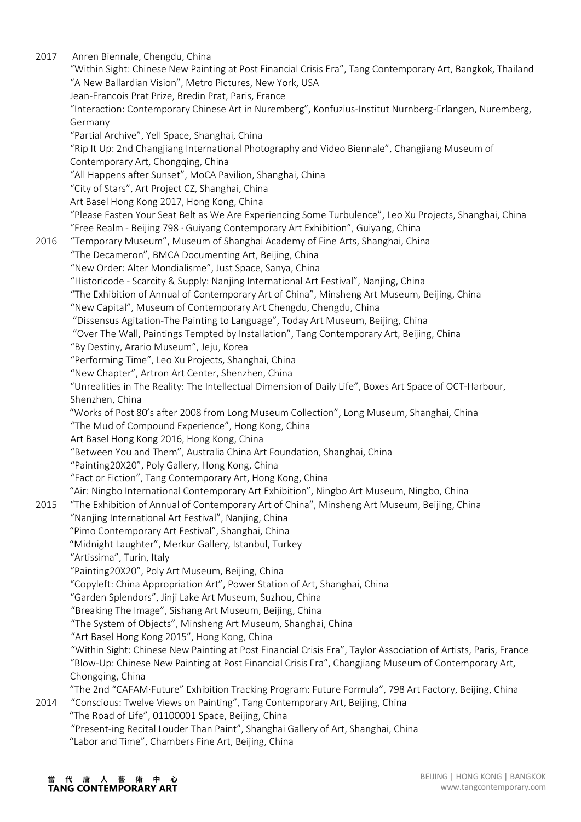2017 Anren Biennale, Chengdu, China "Within Sight: Chinese New Painting at Post Financial Crisis Era", Tang Contemporary Art, Bangkok, Thailand "A New Ballardian Vision", Metro Pictures, New York, USA Jean-Francois Prat Prize, Bredin Prat, Paris, France "Interaction: Contemporary Chinese Art in Nuremberg", Konfuzius-Institut Nurnberg-Erlangen, Nuremberg, Germany "Partial Archive", Yell Space, Shanghai, China "Rip It Up: 2nd Changjiang International Photography and Video Biennale", Changjiang Museum of Contemporary Art, Chongqing, China "All Happens after Sunset", MoCA Pavilion, Shanghai, China "City of Stars", Art Project CZ, Shanghai, China Art Basel Hong Kong 2017, Hong Kong, China "Please Fasten Your Seat Belt as We Are Experiencing Some Turbulence", Leo Xu Projects, Shanghai, China "Free Realm - Beijing 798 · Guiyang Contemporary Art Exhibition", Guiyang, China 2016 "Temporary Museum", Museum of Shanghai Academy of Fine Arts, Shanghai, China "The Decameron", BMCA Documenting Art, Beijing, China "New Order: Alter Mondialisme", Just Space, Sanya, China "Historicode - Scarcity & Supply: Nanjing International Art Festival", Nanjing, China "The Exhibition of Annual of Contemporary Art of China", Minsheng Art Museum, Beijing, China "New Capital", Museum of Contemporary Art Chengdu, Chengdu, China "Dissensus Agitation-The Painting to Language", Today Art Museum, Beijing, China "Over The Wall, Paintings Tempted by Installation", Tang Contemporary Art, Beijing, China "By Destiny, Arario Museum", Jeju, Korea "Performing Time", Leo Xu Projects, Shanghai, China "New Chapter", Artron Art Center, Shenzhen, China "Unrealities in The Reality: The Intellectual Dimension of Daily Life", Boxes Art Space of OCT-Harbour, Shenzhen, China "Works of Post 80's after 2008 from Long Museum Collection", Long Museum, Shanghai, China "The Mud of Compound Experience", Hong Kong, China Art Basel Hong Kong 2016, Hong Kong, China "Between You and Them", Australia China Art Foundation, Shanghai, China "Painting20X20", Poly Gallery, Hong Kong, China "Fact or Fiction", Tang Contemporary Art, Hong Kong, China "Air: Ningbo International Contemporary Art Exhibition", Ningbo Art Museum, Ningbo, China 2015 "The Exhibition of Annual of Contemporary Art of China", Minsheng Art Museum, Beijing, China "Nanjing International Art Festival", Nanjing, China "Pimo Contemporary Art Festival", Shanghai, China "Midnight Laughter", Merkur Gallery, Istanbul, Turkey "Artissima", Turin, Italy "Painting20X20", Poly Art Museum, Beijing, China "Copyleft: China Appropriation Art", Power Station of Art, Shanghai, China "Garden Splendors", Jinji Lake Art Museum, Suzhou, China "Breaking The Image", Sishang Art Museum, Beijing, China "The System of Objects", Minsheng Art Museum, Shanghai, China "Art Basel Hong Kong 2015", Hong Kong, China "Within Sight: Chinese New Painting at Post Financial Crisis Era", Taylor Association of Artists, Paris, France "Blow-Up: Chinese New Painting at Post Financial Crisis Era", Changjiang Museum of Contemporary Art, Chongqing, China "The 2nd "CAFAM·Future" Exhibition Tracking Program: Future Formula", 798 Art Factory, Beijing, China 2014 "Conscious: Twelve Views on Painting", Tang Contemporary Art, Beijing, China "The Road of Life", 01100001 Space, Beijing, China "Present-ing Recital Louder Than Paint", Shanghai Gallery of Art, Shanghai, China "Labor and Time", Chambers Fine Art, Beijing, China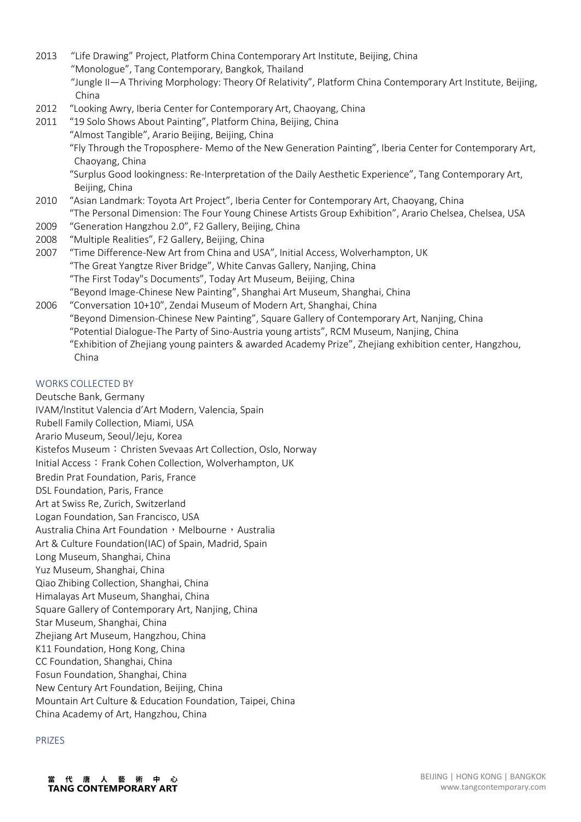- 2013 "Life Drawing" Project, Platform China Contemporary Art Institute, Beijing, China "Monologue", Tang Contemporary, Bangkok, Thailand "Jungle II—A Thriving Morphology: Theory Of Relativity", Platform China Contemporary Art Institute, Beijing, China
- 2012 "Looking Awry, Iberia Center for Contemporary Art, Chaoyang, China
- 2011 "19 Solo Shows About Painting", Platform China, Beijing, China
	- "Almost Tangible", Arario Beijing, Beijing, China

 "Fly Through the Troposphere- Memo of the New Generation Painting", Iberia Center for Contemporary Art, Chaoyang, China

 "Surplus Good lookingness: Re-Interpretation of the Daily Aesthetic Experience", Tang Contemporary Art, Beijing, China

- 2010 "Asian Landmark: Toyota Art Project", Iberia Center for Contemporary Art, Chaoyang, China "The Personal Dimension: The Four Young Chinese Artists Group Exhibition", Arario Chelsea, Chelsea, USA
- 2009 "Generation Hangzhou 2.0", F2 Gallery, Beijing, China
- 2008 "Multiple Realities", F2 Gallery, Beijing, China

2007 "Time Difference-New Art from China and USA", Initial Access, Wolverhampton, UK "The Great Yangtze River Bridge", White Canvas Gallery, Nanjing, China "The First Today"s Documents", Today Art Museum, Beijing, China "Beyond Image-Chinese New Painting", Shanghai Art Museum, Shanghai, China

2006 "Conversation 10+10", Zendai Museum of Modern Art, Shanghai, China "Beyond Dimension-Chinese New Painting", Square Gallery of Contemporary Art, Nanjing, China "Potential Dialogue-The Party of Sino-Austria young artists", RCM Museum, Nanjing, China "Exhibition of Zhejiang young painters & awarded Academy Prize", Zhejiang exhibition center, Hangzhou, China

### WORKS COLLECTED BY

Deutsche Bank, Germany IVAM/Institut Valencia d'Art Modern, Valencia, Spain Rubell Family Collection, Miami, USA Arario Museum, Seoul/Jeju, Korea Kistefos Museum: Christen Svevaas Art Collection, Oslo, Norway Initial Access: Frank Cohen Collection, Wolverhampton, UK Bredin Prat Foundation, Paris, France DSL Foundation, Paris, France Art at Swiss Re, Zurich, Switzerland Logan Foundation, San Francisco, USA Australia China Art Foundation, Melbourne, Australia Art & Culture Foundation(IAC) of Spain, Madrid, Spain Long Museum, Shanghai, China Yuz Museum, Shanghai, China Qiao Zhibing Collection, Shanghai, China Himalayas Art Museum, Shanghai, China Square Gallery of Contemporary Art, Nanjing, China Star Museum, Shanghai, China Zhejiang Art Museum, Hangzhou, China K11 Foundation, Hong Kong, China CC Foundation, Shanghai, China Fosun Foundation, Shanghai, China New Century Art Foundation, Beijing, China Mountain Art Culture & Education Foundation, Taipei, China China Academy of Art, Hangzhou, China

#### PRIZES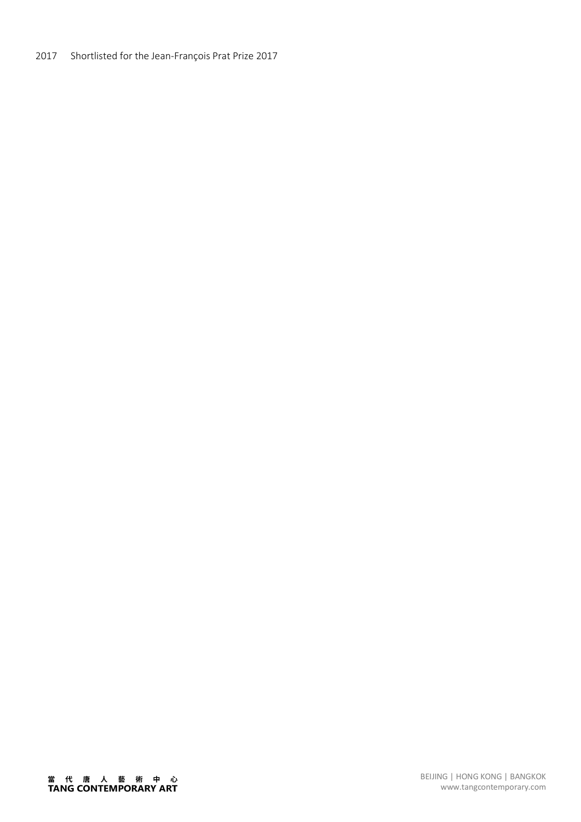## 2017 Shortlisted for the Jean-François Prat Prize 2017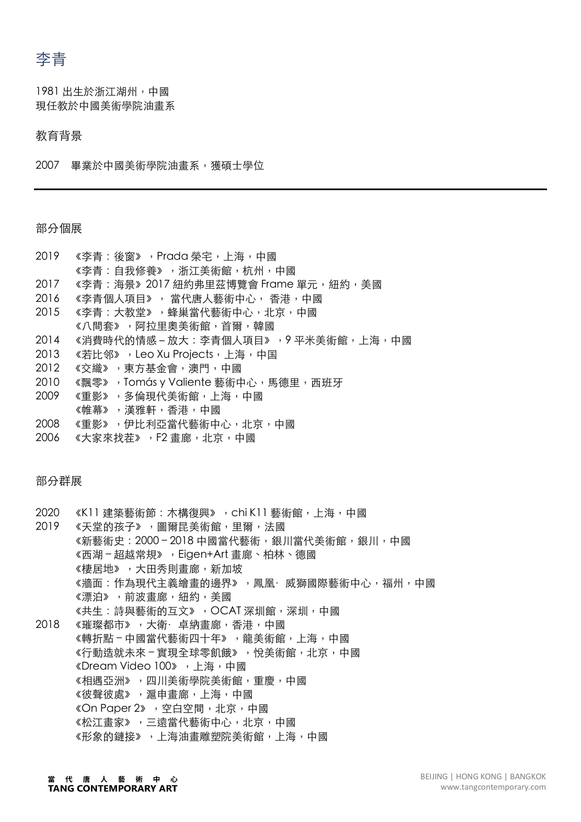李青

1981 出⽣於浙江湖州,中國 現任教於中國美術學院油畫系

#### 教育背景

2007 畢業於中國美術學院油畫系,獲碩士學位

#### 部分個展

- 2019 《李青:後窗》, Prada 榮宅, 上海, 中國
- 《李青:自我修養》, 浙江美術館, 杭州, 中國
- 2017 《李青: 海景》2017 紐約弗里茲博覽會 Frame 單元, 紐約, 美國
- 2016 《李青個人項目》, 當代唐人藝術中心, 香港, 中國
- 2015 《李青:大教堂》,蜂巢當代藝術中心,北京,中國
- 《八間套》,阿拉里奧美術館,首爾,韓國
- 2014 《消費時代的情感-放大:李青個人項目》,9平米美術館,上海,中國
- 2013 《若比邻》,Leo Xu Projects,上海,中国
- 2012 《交織》, 東方基金會, 澳門, 中國
- 2010 《飄零》, Tomás y Valiente 藝術中心, 馬德里, 西班牙
- 2009 《重影》,多倫現代美術館,上海,中國
- 《帷幕》,漢雅軒,香港,中國
- 2008 《重影》,伊比利亞當代藝術中心,北京,中國
- 2006 《⼤家來找茬》,F2 畫廊,北京,中國

## 部分群展

- 2020 《K11 建築藝術節: 木構復興》, chi K11 藝術館, 上海, 中國
- 2019 《天堂的孩子》,圖爾昆美術館,里爾,法國 《新藝術史: 2000-2018 中國當代藝術, 銀川當代美術館, 銀川, 中國 《⻄湖 – 超越常規》,Eigen+Art 畫廊、柏林、德國 《棲居地》,⼤⽥秀則畫廊,新加坡 《牆面:作為現代主義繪書的邊界》,鳳凰·威獅國際藝術中心,福州,中國 《漂泊》,前波畫廊,紐約,美國 《共牛:詩與藝術的互文》, OCAT 深圳館, 深圳, 中國
- 2018 《璀璨都市》,大衛·卓納畫廊,香港,中國 《轉折點-中國當代藝術四十年》, 龍美術館, 上海, 中國 《行動造就未來‐實現全球零飢餓》,悅美術館,北京,中國 《Dream Video 100》,上海,中國 《相遇亞洲》,四川美術學院美術館,重慶,中國 《彼聲彼處》,滬申畫廊,上海,中國 《On Paper 2》,空白空間, 北京, 中國 《松江書家》,三遠當代藝術中心,北京,中國 《形象的鏈接》,上海油書雕塑院美術館,上海,中國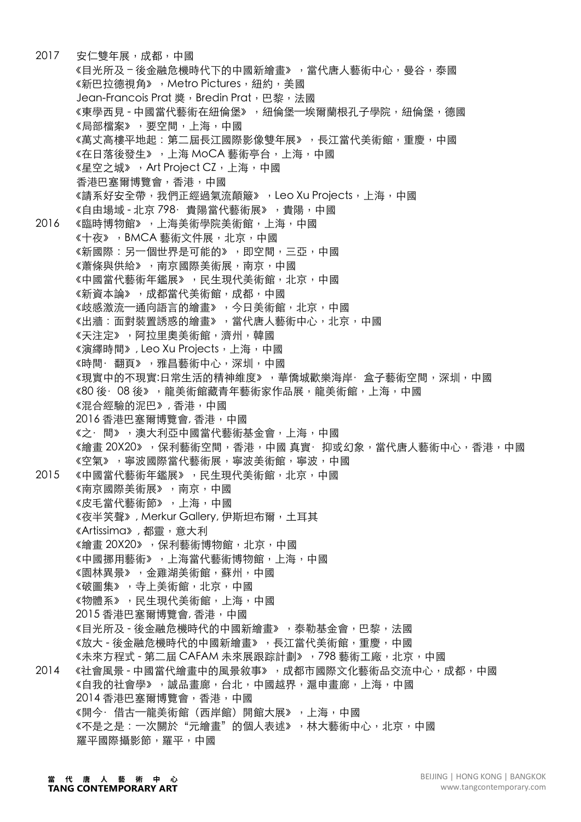2017 安仁雙年展,成都,中國 《目光所及-後余融危機時代下的中國新繪畫》,當代唐人藝術中心,曼谷,泰國 《新巴拉德視鱼》, Metro Pictures, 紐約, 美國 Jean-Francois Prat 獎, Bredin Prat, 巴黎, 法國 《東學西見 - 中國當代藝術在紐倫堡》, 紐倫堡—埃爾蘭根孔子學院, 紐倫堡, 德國 《局部檔案》,要空間,上海,中國 《萬丈高樓平地起:第二屆長江國際影像雙年展》,長江當代美術館,重慶,中國 《在日落後發生》,上海 MoCA 藝術亭台,上海,中國 《星空之城》, Art Project CZ, 上海, 中國 香港巴塞爾博覽會,香港,中國 《請系好安全帶,我們正經過氣流顛簸》,Leo Xu Projects,上海,中國 《自由場域 - 北京 798· 貴陽當代藝術展》, 貴陽, 中國 2016 《臨時博物館》,上海美術學院美術館,上海,中國 《十夜》,BMCA 藝術文件展,北京,中國 《新國際:另一個世界是可能的》,即空間,三亞,中國 《蕭條與供給》,南京國際美術展,南京,中國 《中國當代藝術年鑑展》,民生現代美術館,北京,中國 《新資本論》, 成都當代美術館, 成都, 中國 《歧感激流一通向語言的繪畫》,今日美術館,北京,中國 《出牆:面對裝置誘惑的繪畫》,當代唐人藝術中心,北京,中國 《天注定》,阿拉⾥奧美術館,濟州,韓國 《演繹時間》, Leo Xu Projects, 上海, 中國 《時間·翻頁》,雅昌藝術中心,深圳,中國 《現實中的不現實:日常生活的精神維度》,華僑城歡樂海岸·盒子藝術空間,深圳,中國 《80 後·08 後》,龍美術館藏青年藝術家作品展,龍美術館,上海,中國 《混合經驗的泥巴》, ⾹港,中國 2016 ⾹港巴塞爾博覽會, ⾹港,中國 《之·間》,澳⼤利亞中國當代藝術基⾦會,上海,中國 《繪畫 20X20》,保利藝術空間,香港,中國 真實·抑或幻象,當代唐人藝術中心,香港,中國 《空氣》,寧波國際當代藝術展,寧波美術館,寧波,中國 2015 《中國當代藝術年鑑展》, 民生現代美術館, 北京, 中國 《南京國際美術展》,南京,中國 《皮毛當代藝術節》,上海,中國 《夜半笑聲》, Merkur Gallery, 伊斯坦布爾,土耳其 《Artissima》, 都靈,意⼤利 《繪畫 20X20》,保利藝術博物館,北京,中國 《中國挪用藝術》,上海當代藝術博物館,上海,中國 《園林異景》, 金雞湖美術館, 蘇州, 中國 《破圖集》,寺上美術館,北京,中國 《物體系》,民生現代美術館,上海,中國 2015 ⾹港巴塞爾博覽會, ⾹港,中國 《目光所及 - 後金融危機時代的中國新繪書》, 泰勒基金會, 巴黎, 法國 《放大 - 後金融危機時代的中國新繪畫》,長江當代美術館,重慶,中國 《未來方程式 - 第二屆 CAFAM 未來展跟踪計劃》, 798 藝術工廠, 北京, 中國 2014 《社會風景 - 中國當代繪畫中的風景敘事》, 成都市國際文化藝術品交流中心, 成都, 中國 《自我的社會學》,誠品畫廊,台北,中國越界,滬申畫廊,上海,中國 2014 香港巴塞爾博覽會,香港,中國 《開今·借古─龍美術館(西岸館)開館大展》,上海,中國 《不是之是:一次關於"元繪畫"的個人表述》,林大藝術中心,北京,中國 羅平國際攝影節,羅平,中國

代唐人藝術中心 **TANG CONTEMPORARY ART**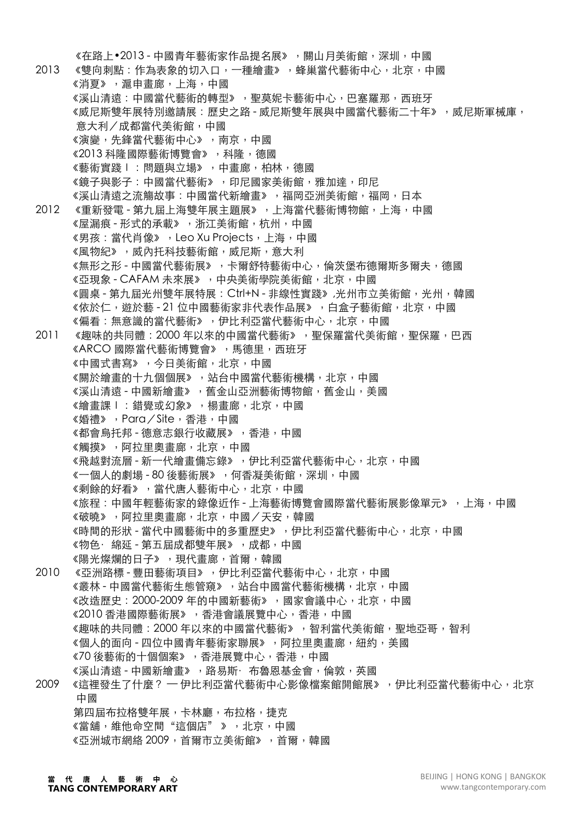《在路上•2013 - 中國青年藝術家作品提名展》, 關山月美術館,深圳, 中國 2013 《雙向刺點:作為表象的切入口,一種繪書》,蜂巢當代藝術中心,北京,中國 《消夏》,滬申畫廊,上海,中國 《溪山清遠:中國當代藝術的轉型》,聖莫妮卡藝術中心,巴塞羅那,西班牙 《威尼斯雙年展特別邀請展:歷史之路 - 威尼斯雙年展與中國當代藝術二十年》, 威尼斯軍械庫, 意⼤利/成都當代美術館,中國 《演變,先鋒當代藝術中心》,南京,中國 《2013 科隆國際藝術博覽會》,科隆,德國 《藝術實踐Ⅰ:問題與立場》,中畫廊,柏林,德國 《鏡子與影子:中國當代藝術》,印尼國家美術館,雅加達,印尼 《溪山清遠之流觴故事:中國當代新繪畫》,福岡亞洲美術館,福岡,日本 2012 《重新發電 - 第九屆上海雙年展主題展》,上海當代藝術博物館,上海,中國 《屋漏痕 - 形式的承載》, 浙江美術館, 杭州, 中國 《男孩:當代肖像》, Leo Xu Projects, 上海, 中國 《風物紀》,威內托科技藝術館,威尼斯,意大利 《無形之形 - 中國當代藝術展》,卡爾舒特藝術中心, 倫茨堡布德爾斯多爾夫, 德國 《亞現象 - CAFAM 未來展》, 中央美術學院美術館, 北京, 中國 《圓桌 - 第九屆光州雙年展特展: Ctrl+N - 非線性實踐》,光州市立美術館,光州,韓國 《依於仁,遊於藝 - 21 位中國藝術家非代表作品展》,白盒子藝術館,北京,中國 《偏看:無意識的當代藝術》,伊比利亞當代藝術中心,北京,中國 2011 《趣味的共同體: 2000年以來的中國當代藝術》, 聖保羅當代美術館, 聖保羅, 巴西 《ARCO 國際當代藝術博覽會》,馬德里,西班牙 《中國式書寫》,今日美術館,北京,中國 《關於繪畫的十九個個展》,站台中國當代藝術機構,北京,中國 《溪山清遠 - 中國新繪書》,舊金山亞洲藝術博物館,舊金山,美國 《繪畫課Ⅰ:錯覺或幻象》,楊畫廊,北京,中國 《婚禮》,Para/Site,香港,中國 《都會烏托邦 - 德意志銀行收藏展》, 香港, 中國 《觸摸》,阿拉⾥奧畫廊,北京,中國 《飛越對流層 - 新一代繪畫備忘錄》, 伊比利亞當代藝術中心, 北京, 中國 《一個人的劇場 - 80 後藝術展》, 何香凝美術館, 深圳, 中國 《剩餘的好看》,當代唐人藝術中心,北京,中國 《旅程:中國年輕藝術家的錄像近作 - 上海藝術博覽會國際當代藝術展影像單元》, 上海, 中國 《破曉》,阿拉⾥奧畫廊,北京,中國/天安,韓國 《時間的形狀 - 當代中國藝術中的多重歷史》, 伊比利亞當代藝術中心, 北京, 中國 《物色· 綿延 - 第五届成都雙年展》,成都,中國 《陽光燦爛的日子》,現代畫廊,首爾,韓國 2010 《亞洲路標 - 豐田藝術項目》, 伊比利亞當代藝術中心, 北京, 中國 《叢林 - 中國當代藝術生態管窺》,站台中國當代藝術機構,北京,中國 《改造歷史:2000-2009 年的中國新藝術》,國家會議中心,北京,中國 《2010 香港國際藝術展》, 香港會議展覽中心, 香港, 中國 《趣味的共同體:2000 年以來的中國當代藝術》,智利當代美術館,聖地亞哥,智利 《個人的面向 - 四位中國青年藝術家聯展》,阿拉里奧畫廊,紐約,美國 《70 後藝術的十個個案》,香港展覽中心,香港,中國 《溪山清遠 - 中國新繪畫》,路易斯· 布魯恩基金會,倫敦,英國 2009 《這裡發生了什麼?— 伊比利亞當代藝術中心影像檔案館開館展》, 伊比利亞當代藝術中心, 北京 中國 第四屆布拉格雙年展,卡林廳,布拉格,捷克 《當舖,維他命空間"這個店" 》,北京,中國 《亞洲城市網絡 2009,首爾市立美術館》,首爾,韓國